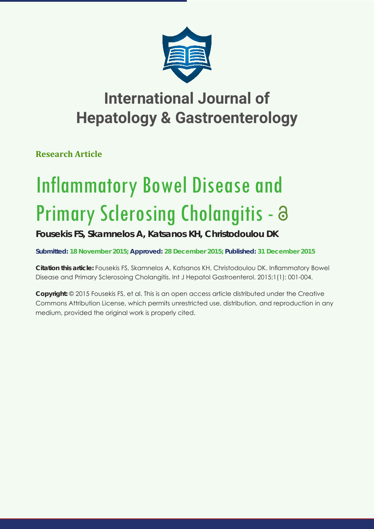

## **International Journal of Hepatology & Gastroenterology**

**Research Article**

# Inflammatory Bowel Disease and Primary Sclerosing Cholangitis - a

### **Fousekis FS, Skamnelos A, Katsanos KH, Christodoulou DK**

**Submitted: 18 November 2015; Approved: 28 December 2015; Published: 31 December 2015**

**Citation this article:** Fousekis FS, Skamnelos A, Katsanos KH, Christodoulou DK. Inflammatory Bowel Disease and Primary Sclerosoing Cholangitis. Int J Hepatol Gastroenterol. 2015;1(1): 001-004.

**Copyright:** © 2015 Fousekis FS, et al. This is an open access article distributed under the Creative Commons Attribution License, which permits unrestricted use, distribution, and reproduction in any medium, provided the original work is properly cited.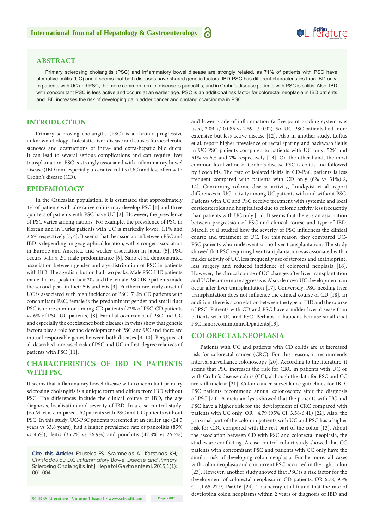## **SeiRes** ture

#### **ABSTRACT**

Primary sclerosing cholangitis (PSC) and inflammatory bowel disease are strongly related, as 71% of patients with PSC have ulcerative colitis (UC) and it seems that both diseases have shared genetic factors. IBD-PSC has different characteristics than IBD only. In patients with UC and PSC, the more common form of disease is pancolitis, and in Crohn's disease patients with PSC is colitis. Also, IBD with concomitant PSC is less active and occurs at an earlier age. PSC is an additional risk factor for colorectal neoplasia in IBD patients and IBD increases the risk of developing gallbladder cancer and cholangiocarcinoma in PSC.

#### **INTRODUCTION**

Primary sclerosing cholangitis (PSC) is a chronic progressive unknown etiology cholestatic liver disease and causes fibroesclerotic stenoses and destructions of intra- and extra-hepatic bile ducts. It can lead to several serious complications and can require liver transplantation. PSC is strongly associated with inflammatory bowel disease (IBD) and especially ulcerative colitis (UC) and less often with Crohn's disease (CD).

#### **EPIDEMIOLOGY**

In the Caucasian population, it is estimated that approximately 4% of patients with ulcerative colitis may develop PSC [1] and three quarters of patients with PSC have UC [2]. However, the prevalence of PSC varies among nations. For example, the prevalence of PSC in Korean and in Turks patients with UC is markedly lower, 1.1% and 2.6% respectively [3, 4]. It seems that the association between PSC and IBD is depending on geographical location, with stronger association in Europe and America, and weaker association in Japan [5]. PSC occurs with a 2:1 male predominance [6]. Sano et al. demonstrated association between gender and age distribution of PSC in patients with IBD. The age distribution had two peaks. Male PSC-IBD patients made the first peak in their 20s and the female PSC-IBD patients made the second peak in their 50s and 60s [3]. Furthermore, early onset of UC is associated with high incidence of PSC [7].In CD patients with concomitant PSC, female is the predominant gender and small duct PSC is more common among CD patients (22% of PSC-CD patients vs 6% of PSC-UC patients) [8]. Familial occurrence of PSC and UC and especially the coexistence both diseases in twins show that genetic factors play a role for the development of PSC and UC and there are mutual responsible genes between both diseases [9, 10]. Bergquist et al. described increased risk of PSC and UC in first-degree relatives of patients with PSC [11].

#### **CHARACTERISTICS OF IBD IN PATIENTS WITH PSC**

It seems that inflammatory bowel disease with concomitant primary sclerosing cholangitis is a unique form and differs from IBD without PSC. The differences include the clinical course of IBD, the age diagnosis, localization and severity of IBD. In a case-control study, Joo M. et al compared UC patients with PSC and UC patients without PSC. In this study, UC-PSC patients presented at an earlier age (24.5 years vs 33.8 years), had a higher prevalence rate of pancolitis (85% vs 45%), ileitis (35.7% vs 26.9%) and pouchitis (42.8% vs 26.6%)

*Cite this Article: Fousekis FS, Skamnelos A, Katsanos KH, Christodoulou DK. Inflammatory Bowel Disease and Primary Sclerosing Cholangitis. Int J Hepatol Gastroenterol. 2015;1(1): 001-004.*

and lower grade of inflammation (a five-point grading system was used, 2.09 +/-0.085 vs 2.59 +/-0.92). So, UC-PSC patients had more extensive but less active disease [12]. Also in another study, Loftus et al. report higher prevalence of rectal sparing and backwash ileitis in UC-PSC patients compared to patients with UC only, 52% and 51% vs 6% and 7% respectively [13]. On the other hand, the most common localization of Crohn's disease-PSC is colitis and followed by ileocolitis. The rate of isolated ileitis in CD-PSC patients is less frequent compared with patients with CD only (6% vs 31%)[8, 14]. Concerning colonic disease activity, Lundqvist et al. report differences in UC activity among UC patients with and without PSC. Patients with UC and PSC receive treatment with systemic and local corticosteroids and hospitalized due to colonic activity less frequently than patients with UC only [15]. It seems that there is an association between progression of PSC and clinical course and type of IBD. Marelli et al studied how the severity of PSC influences the clinical course and treatment of UC. For this reason, they compared UC-PSC patients who underwent or no liver transplantation. The study showed that PSC requiring liver transplantation was associated with a milder activity of UC, less frequently use of steroids and azathioprine, less surgery and reduced incidence of colorectal neoplasia [16]. However, the clinical course of UC changes after liver transplantation and UC become more aggressive. Also, de novo UC development can occur after liver transplantation [17]. Conversely, PSC needing liver transplantation does not influence the clinical course of CD [18]. In addition, there is a correlation between the type of IBD and the course of PSC. Patients with CD and PSC have a milder liver disease than patients with UC and PSC. Perhaps, it happens because small-duct PSC ismorecommoninCDpatients[19].

#### **COLORECTAL NEOPLASIA**

Patients with UC and patients with CD colitis are at increased risk for colorectal cancer (CRC). For this reason, it recommends interval surveillance colonoscopy [20]. According to the literature, it seems that PSC increases the risk for CRC in patients with UC or with Crohn's disease colitis (CC), although the data for PSC and CC are still unclear [21]. Colon cancer surveillance guidelines for IBD-PSC patients recommend annual colonoscopy after the diagnosis of PSC [20]. A meta-analysis showed that the patients with UC and PSC have a higher risk for the development of CRC compared with patients with UC only; OR= 4.79 (95% CI: 3.58-6.41) [22]. Also, the proximal part of the colon in patients with UC and PSC has a higher risk for CRC compared with the rest part of the colon [13]. About the association between CD with PSC and colorectal neoplasia, the studies are conflicting. A case-control cohort study showed that CC patients with concomitant PSC and patients with CC only have the similar risk of developing colon neoplasia. Furthermore, all cases with colon neoplasia and concurrent PSC occurred in the right colon [23]. However, another study showed that PSC is a risk factor for the development of colorectal neoplasia in CD patients; OR 6.78, 95% CI  $(1.65-27.9)$  P=0.16 [24]. Thacherray et al found that the rate of developing colon neoplasms within 2 years of diagnosis of IBD and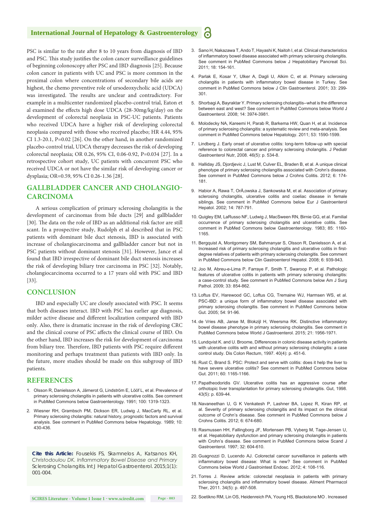#### **International Journal of Hepatology & Gastroenterology**

PSC is similar to the rate after 8 to 10 years from diagnosis of IBD and PSC. This study justifies the colon cancer surveillance guidelines of beginning colonoscopy after PSC and IBD diagnosis [25]. Because colon cancer in patients with UC and PSC is more common in the proximal colon where concentrations of secondary bile acids are highest, the chemo preventive role of ursodeoxycholic acid (UDCA) was investigated. The results are unclear and contradictory. For example in a multicenter randomized placebo-control trial, Eaton et al examined the effects high dose UDCA (28-30mg/kg/day) on the development of colorectal neoplasia in PSC-UC patients. Patients who received UDCA have a higher risk of developing colorectal neoplasia compared with those who received placebo; HR 4.44, 95% CI 1.3-20.1, P=0.02 [26]. On the other hand, in another randomized placebo-control trial, UDCA therapy decreases the risk of developing colorectal neoplasia; OR 0.26, 95% CI, 0.06-0.92, P=0.034 [27]. In a retrospective cohort study, UC patients with concurrent PSC who received UDCA or not have the similar risk of developing cancer or dysplasia; OR=0.59, 95% CI 0.26-1.36 [28].

#### **GALLBLADDER CANCER AND CHOLANGIO-CARCINOMA**

A serious complication of primary sclerosing cholangitis is the development of carcinomas from bile ducts [29] and gallbladder [30]. The data on the role of IBD as an additional risk factor are still scant. In a prospective study, Rudolph et al described that in PSC patients with dominant bile duct stenosis, IBD is associated with increase of cholangiocarcinoma and gallbladder cancer but not in PSC patients without dominant stenosis [31]. However, Jance et al found that IBD irrespective of dominant bile duct stenosis increases the risk of developing biliary tree carcinoma in PSC [32]. Notably, cholangiocarcinoma occurred to a 17 years old with PSC and IBD [33].

#### **CONCLUSION**

IBD and especially UC are closely associated with PSC. It seems that both diseases interact. IBD with PSC has earlier age diagnosis, milder active disease and different localization compared with IBD only. Also, there is dramatic increase in the risk of developing CRC and the clinical course of PSC affects the clinical course of IBD. On the other hand, IBD increases the risk for development of carcinoma from biliary tree. Therefore, IBD patients with PSC require different monitoring and perhaps treatment than patients with IBD only. In the future, more studies should be made on this subgroup of IBD patients.

#### **REFERENCES**

- 1. [Olsson R, Danielsson A, Järnerot G, Lindström E, Lööf L, et al. Prevalence of](http://www.ncbi.nlm.nih.gov/pubmed/2013375)  [primary sclerosing cholangitis in patients with ulcerative colitis. See comment](http://www.ncbi.nlm.nih.gov/pubmed/2013375)  [in PubMed Commons below Gastroenterology. 1991; 100: 1319-1323.](http://www.ncbi.nlm.nih.gov/pubmed/2013375)
- 2. [Wiesner RH, Grambsch PM, Dickson ER, Ludwig J, MacCarty RL, et al.](http://www.ncbi.nlm.nih.gov/pubmed/2777204)  [Primary sclerosing cholangitis: natural history, prognostic factors and survival](http://www.ncbi.nlm.nih.gov/pubmed/2777204)  [analysis. See comment in PubMed Commons below Hepatology. 1989; 10:](http://www.ncbi.nlm.nih.gov/pubmed/2777204)  [430-436.](http://www.ncbi.nlm.nih.gov/pubmed/2777204)

*Cite this Article: Fousekis FS, Skamnelos A, Katsanos KH, Christodoulou DK. Inflammatory Bowel Disease and Primary Sclerosing Cholangitis. Int J Hepatol Gastroenterol. 2015;1(1): 001-004.*

- 3. [Sano H, Nakazawa T, Ando T, Hayashi K, Naitoh I, et al. Clinical characteristics](http://www.ncbi.nlm.nih.gov/pubmed/20740366)  [of inflammatory bowel disease associated with primary sclerosing cholangitis.](http://www.ncbi.nlm.nih.gov/pubmed/20740366)  [See comment in PubMed Commons below J Hepatobiliary Pancreat Sci.](http://www.ncbi.nlm.nih.gov/pubmed/20740366)  [2011; 18: 154-161.](http://www.ncbi.nlm.nih.gov/pubmed/20740366)
- 4. [Parlak E, Kosar Y, Ulker A, Dagli U, Alkim C, et al. Primary sclerosing](http://www.ncbi.nlm.nih.gov/pubmed/11588543)  [cholangitis in patients with inflammatory bowel disease in Turkey. See](http://www.ncbi.nlm.nih.gov/pubmed/11588543)  [comment in PubMed Commons below J Clin Gastroenterol. 2001; 33: 299-](http://www.ncbi.nlm.nih.gov/pubmed/11588543) [301.](http://www.ncbi.nlm.nih.gov/pubmed/11588543)
- 5. [Shorbagi A, Bayraktar Y. Primary sclerosing cholangitis--what is the difference](http://www.ncbi.nlm.nih.gov/pubmed/18609680)  [between east and west? See comment in PubMed Commons below World J](http://www.ncbi.nlm.nih.gov/pubmed/18609680)  [Gastroenterol. 2008; 14: 3974-3981.](http://www.ncbi.nlm.nih.gov/pubmed/18609680)
- 6. [Molodecky NA, Kareemi H, Parab R, Barkema HW, Quan H, et al. Incidence](http://www.ncbi.nlm.nih.gov/pubmed/21351115)  [of primary sclerosing cholangitis: a systematic review and meta-analysis. See](http://www.ncbi.nlm.nih.gov/pubmed/21351115)  [comment in PubMed Commons below Hepatology. 2011; 53: 1590-1599.](http://www.ncbi.nlm.nih.gov/pubmed/21351115)
- 7. Lindberg J. Early onset of ulcerative colitis: long-term follow-up with special reference to colorectal cancer and primary sclerosing cholangitis. J Pediatr Gastroenterol Nutr, 2008. 46(5): p. 534-8.
- 8. Halliday JS, Diordievic J, Lust M, Culver EL, Braden B, et al, A unique clinical [phenotype of primary sclerosing cholangitis associated with Crohn's disease.](http://www.ncbi.nlm.nih.gov/pubmed/22325171)  [See comment in PubMed Commons below J Crohns Colitis. 2012; 6: 174-](http://www.ncbi.nlm.nih.gov/pubmed/22325171) [181.](http://www.ncbi.nlm.nih.gov/pubmed/22325171)
- 9. Habior A, Rawa T, OrÅ, owska J, Sankowska M, et al. Association of primary sclerosing cholangitis, ulcerative colitis and coeliac disease in female [siblings. See comment in PubMed Commons below Eur J Gastroenterol](http://www.ncbi.nlm.nih.gov/pubmed/12169991)  [Hepatol. 2002; 14: 787-791.](http://www.ncbi.nlm.nih.gov/pubmed/12169991)
- 10. [Quigley EM, LaRusso NF, Ludwig J, MacSween RN, Birnie GG, et al. Familial](http://www.ncbi.nlm.nih.gov/pubmed/6618106)  [occurrence of primary sclerosing cholangitis and ulcerative colitis. See](http://www.ncbi.nlm.nih.gov/pubmed/6618106)  [comment in PubMed Commons below Gastroenterology. 1983; 85: 1160-](http://www.ncbi.nlm.nih.gov/pubmed/6618106) [1165.](http://www.ncbi.nlm.nih.gov/pubmed/6618106)
- 11. [Bergquist A, Montgomery SM, Bahmanyar S, Olsson R, Danielsson A, et al.](http://www.ncbi.nlm.nih.gov/pubmed/18674735)  [Increased risk of primary sclerosing cholangitis and ulcerative colitis in first](http://www.ncbi.nlm.nih.gov/pubmed/18674735)[degree relatives of patients with primary sclerosing cholangitis. See comment](http://www.ncbi.nlm.nih.gov/pubmed/18674735)  [in PubMed Commons below Clin Gastroenterol Hepatol. 2008; 6: 939-943.](http://www.ncbi.nlm.nih.gov/pubmed/18674735)
- 12. [Joo M, Abreu-e-Lima P, Farraye F, Smith T, Swaroop P, et al. Pathologic](http://www.ncbi.nlm.nih.gov/pubmed/19295408)  [features of ulcerative colitis in patients with primary sclerosing cholangitis:](http://www.ncbi.nlm.nih.gov/pubmed/19295408)  [a case-control study. See comment in PubMed Commons below Am J Surg](http://www.ncbi.nlm.nih.gov/pubmed/19295408)  [Pathol. 2009; 33: 854-862.](http://www.ncbi.nlm.nih.gov/pubmed/19295408)
- 13. [Loftus EV, Harewood GC, Loftus CG, Tremaine WJ, Harmsen WS, et al.](http://www.ncbi.nlm.nih.gov/pubmed/15591511)  [PSC-IBD: a unique form of inflammatory bowel disease associated with](http://www.ncbi.nlm.nih.gov/pubmed/15591511)  [primary sclerosing cholangitis. See comment in PubMed Commons below](http://www.ncbi.nlm.nih.gov/pubmed/15591511)  [Gut. 2005; 54: 91-96.](http://www.ncbi.nlm.nih.gov/pubmed/15591511)
- 14. [de Vries AB, Janse M, Blokzijl H, Weersma RK. Distinctive inflammatory](http://www.ncbi.nlm.nih.gov/pubmed/25684965)  [bowel disease phenotype in primary sclerosing cholangitis. See comment in](http://www.ncbi.nlm.nih.gov/pubmed/25684965)  [PubMed Commons below World J Gastroenterol. 2015; 21: 1956-1971.](http://www.ncbi.nlm.nih.gov/pubmed/25684965)
- 15. Lundqvist K. and U. Broome, Differences in colonic disease activity in patients with ulcerative colitis with and without primary sclerosing cholangitis: a case control study. Dis Colon Rectum, 1997. 40(4): p. 451-6.
- 16. [Rust C, Brand S. PSC: Protect and serve with colitis: does it help the liver to](http://www.ncbi.nlm.nih.gov/pubmed/21561875)  [have severe ulcerative colitis? See comment in PubMed Commons below](http://www.ncbi.nlm.nih.gov/pubmed/21561875)  [Gut. 2011; 60: 1165-1166.](http://www.ncbi.nlm.nih.gov/pubmed/21561875)
- 17. Papatheodoridis GV. Ulcerative colitis has an aggressive course after orthotopic liver transplantation for primary sclerosing cholangitis. Gut, 1998. 43(5): p. 639-44.
- 18. [Navaneethan U, G K Venkatesh P, Lashner BA, Lopez R, Kiran RP, et](http://www.ncbi.nlm.nih.gov/pubmed/22398102)  [al. Severity of primary sclerosing cholangitis and its impact on the clinical](http://www.ncbi.nlm.nih.gov/pubmed/22398102)  [outcome of Crohn's disease. See comment in PubMed Commons below J](http://www.ncbi.nlm.nih.gov/pubmed/22398102)  [Crohns Colitis. 2012; 6: 674-680.](http://www.ncbi.nlm.nih.gov/pubmed/22398102)
- 19. [Rasmussen HH, Fallingborg JF, Mortensen PB, Vyberg M, Tage-Jensen U,](http://www.ncbi.nlm.nih.gov/pubmed/9200295)  [et al. Hepatobiliary dysfunction and primary sclerosing cholangitis in patients](http://www.ncbi.nlm.nih.gov/pubmed/9200295)  [with Crohn's disease. See comment in PubMed Commons below Scand J](http://www.ncbi.nlm.nih.gov/pubmed/9200295)  [Gastroenterol. 1997; 32: 604-610.](http://www.ncbi.nlm.nih.gov/pubmed/9200295)
- 20. [Guagnozzi D, Lucendo AJ. Colorectal cancer surveillance in patients with](http://www.ncbi.nlm.nih.gov/pubmed/22523611)  [inflammatory bowel disease: What is new? See comment in PubMed](http://www.ncbi.nlm.nih.gov/pubmed/22523611)  [Commons below World J Gastrointest Endosc. 2012; 4: 108-116.](http://www.ncbi.nlm.nih.gov/pubmed/22523611)
- 21. Torres J. Review article: colorectal neoplasia in patients with primary sclerosing cholangitis and inflammatory bowel disease. Aliment Pharmacol Ther, 2011. 34(5): p. 497-508.

22. [Soetikno RM, Lin OS, Heidenreich PA, Young HS, Blackstone MO . Increased](http://www.ncbi.nlm.nih.gov/pubmed/12085034)